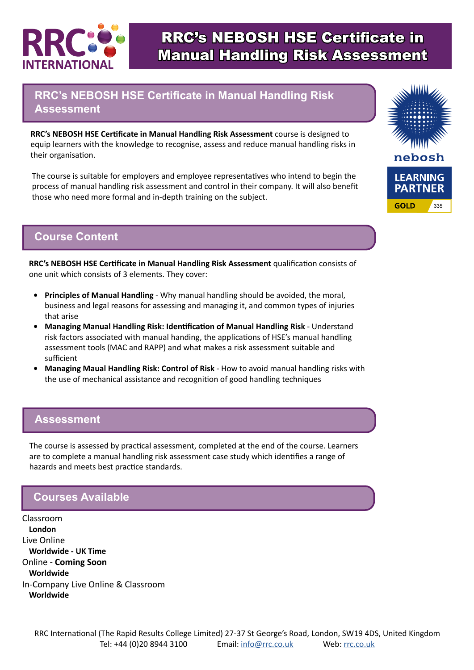

# RRC's NEBOSH HSE Certificate in Manual Handling Risk Assessment

## **RRC's NEBOSH HSE Certificate in Manual Handling Risk Assessment**

**RRC's NEBOSH HSE Certificate in Manual Handling Risk Assessment** course is designed to equip learners with the knowledge to recognise, assess and reduce manual handling risks in their organisation.

The course is suitable for employers and employee representatives who intend to begin the process of manual handling risk assessment and control in their company. It will also benefit those who need more formal and in-depth training on the subject.

### **Course Content**

**RRC's NEBOSH HSE Certificate in Manual Handling Risk Assessment** qualification consists of one unit which consists of 3 elements. They cover:

- **• Principles of Manual Handling** Why manual handling should be avoided, the moral, business and legal reasons for assessing and managing it, and common types of injuries that arise
- **• Managing Manual Handling Risk: Identification of Manual Handling Risk** Understand risk factors associated with manual handing, the applications of HSE's manual handling assessment tools (MAC and RAPP) and what makes a risk assessment suitable and sufficient
- **• Managing Maual Handling Risk: Control of Risk** How to avoid manual handling risks with the use of mechanical assistance and recognition of good handling techniques

#### **Assessment**

The course is assessed by practical assessment, completed at the end of the course. Learners are to complete a manual handling risk assessment case study which identifies a range of hazards and meets best practice standards.

### **Courses Available**

Classroom **London** Live Online **Worldwide - UK Time** Online - **Coming Soon Worldwide** In-Company Live Online & Classroom **Worldwide**